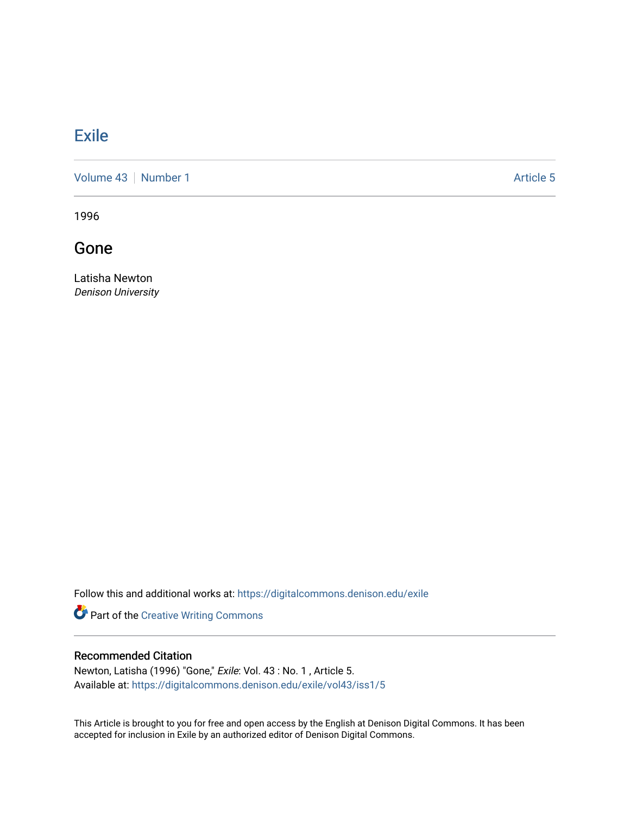## **[Exile](https://digitalcommons.denison.edu/exile)**

[Volume 43](https://digitalcommons.denison.edu/exile/vol43) [Number 1](https://digitalcommons.denison.edu/exile/vol43/iss1) Article 5

1996

Gone

Latisha Newton Denison University

Follow this and additional works at: [https://digitalcommons.denison.edu/exile](https://digitalcommons.denison.edu/exile?utm_source=digitalcommons.denison.edu%2Fexile%2Fvol43%2Fiss1%2F5&utm_medium=PDF&utm_campaign=PDFCoverPages) 

Part of the [Creative Writing Commons](http://network.bepress.com/hgg/discipline/574?utm_source=digitalcommons.denison.edu%2Fexile%2Fvol43%2Fiss1%2F5&utm_medium=PDF&utm_campaign=PDFCoverPages) 

## Recommended Citation

Newton, Latisha (1996) "Gone," Exile: Vol. 43 : No. 1 , Article 5. Available at: [https://digitalcommons.denison.edu/exile/vol43/iss1/5](https://digitalcommons.denison.edu/exile/vol43/iss1/5?utm_source=digitalcommons.denison.edu%2Fexile%2Fvol43%2Fiss1%2F5&utm_medium=PDF&utm_campaign=PDFCoverPages) 

This Article is brought to you for free and open access by the English at Denison Digital Commons. It has been accepted for inclusion in Exile by an authorized editor of Denison Digital Commons.